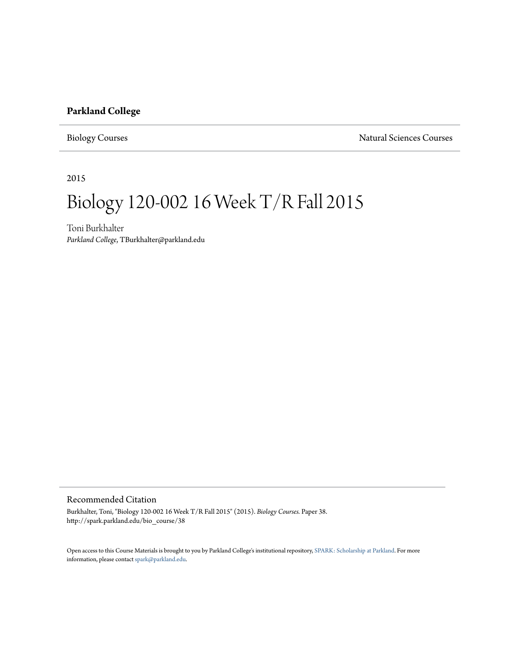#### **Parkland College**

Biology Courses Natural Sciences Courses

2015

# Biology 120-002 16 Week T/R Fall 2015

Toni Burkhalter *Parkland College*, TBurkhalter@parkland.edu

#### Recommended Citation

Burkhalter, Toni, "Biology 120-002 16 Week T/R Fall 2015" (2015). *Biology Courses.* Paper 38. http://spark.parkland.edu/bio\_course/38

Open access to this Course Materials is brought to you by Parkland College's institutional repository, [SPARK: Scholarship at Parkland](http://spark.parkland.edu/). For more information, please contact [spark@parkland.edu](mailto:spark@parkland.edu).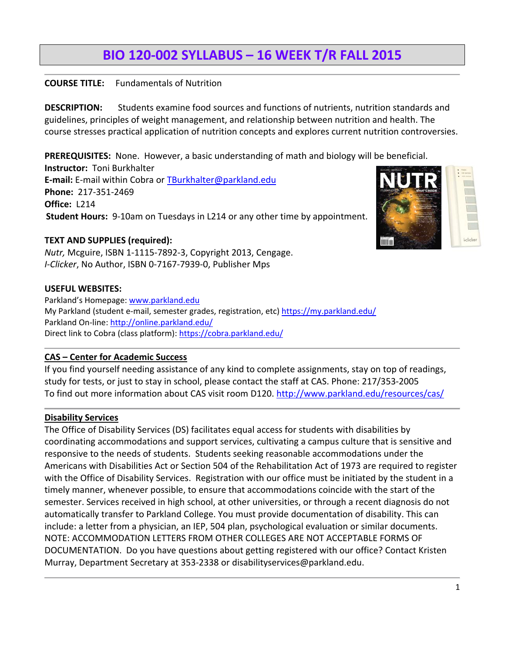# **BIO 120‐002 SYLLABUS – 16 WEEK T/R FALL 2015**

## **COURSE TITLE:** Fundamentals of Nutrition

**DESCRIPTION:** Students examine food sources and functions of nutrients, nutrition standards and guidelines, principles of weight management, and relationship between nutrition and health. The course stresses practical application of nutrition concepts and explores current nutrition controversies.

**PREREQUISITES:** None. However, a basic understanding of math and biology will be beneficial. **Instructor:** Toni Burkhalter **E‐mail:** E‐mail within Cobra or TBurkhalter@parkland.edu **Phone:** 217‐351‐2469 **Office: L214 Student Hours:**9‐10am on Tuesdays in L214 or any other time by appointment.

#### **TEXT AND SUPPLIES (required):**

*Nutr,* Mcguire, ISBN 1‐1115‐7892‐3, Copyright 2013, Cengage. *I‐Clicker*, No Author, ISBN 0‐7167‐7939‐0, Publisher Mps

#### **USEFUL WEBSITES:**

Parkland's Homepage: www.parkland.edu My Parkland (student e-mail, semester grades, registration, etc) https://my.parkland.edu/ Parkland On-line: http://online.parkland.edu/ Direct link to Cobra (class platform): https://cobra.parkland.edu/

#### **CAS – Center for Academic Success**

If you find yourself needing assistance of any kind to complete assignments, stay on top of readings, study for tests, or just to stay in school, please contact the staff at CAS. Phone: 217/353‐2005 To find out more information about CAS visit room D120. http://www.parkland.edu/resources/cas/

#### **Disability Services**

The Office of Disability Services (DS) facilitates equal access for students with disabilities by coordinating accommodations and support services, cultivating a campus culture that is sensitive and responsive to the needs of students. Students seeking reasonable accommodations under the Americans with Disabilities Act or Section 504 of the Rehabilitation Act of 1973 are required to register with the Office of Disability Services. Registration with our office must be initiated by the student in a timely manner, whenever possible, to ensure that accommodations coincide with the start of the semester. Services received in high school, at other universities, or through a recent diagnosis do not automatically transfer to Parkland College. You must provide documentation of disability. This can include: a letter from a physician, an IEP, 504 plan, psychological evaluation or similar documents. NOTE: ACCOMMODATION LETTERS FROM OTHER COLLEGES ARE NOT ACCEPTABLE FORMS OF DOCUMENTATION. Do you have questions about getting registered with our office? Contact Kristen Murray, Department Secretary at 353‐2338 or disabilityservices@parkland.edu.

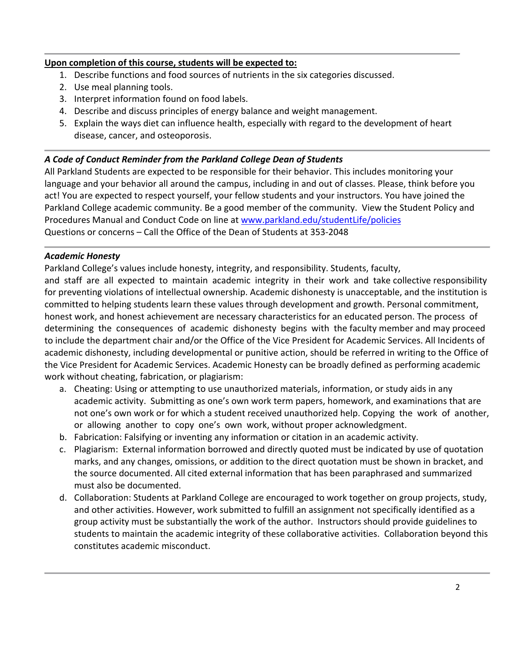#### **Upon completion of this course, students will be expected to:**

- 1. Describe functions and food sources of nutrients in the six categories discussed.
- 2. Use meal planning tools.
- 3. Interpret information found on food labels.
- 4. Describe and discuss principles of energy balance and weight management.
- 5. Explain the ways diet can influence health, especially with regard to the development of heart disease, cancer, and osteoporosis.

#### *A Code of Conduct Reminder from the Parkland College Dean of Students*

All Parkland Students are expected to be responsible for their behavior. This includes monitoring your language and your behavior all around the campus, including in and out of classes. Please, think before you act! You are expected to respect yourself, your fellow students and your instructors. You have joined the Parkland College academic community. Be a good member of the community. View the Student Policy and Procedures Manual and Conduct Code on line at www.parkland.edu/studentLife/policies Questions or concerns – Call the Office of the Dean of Students at 353‐2048

#### *Academic Honesty*

Parkland College's values include honesty, integrity, and responsibility. Students, faculty,

and staff are all expected to maintain academic integrity in their work and take collective responsibility for preventing violations of intellectual ownership. Academic dishonesty is unacceptable, and the institution is committed to helping students learn these values through development and growth. Personal commitment, honest work, and honest achievement are necessary characteristics for an educated person. The process of determining the consequences of academic dishonesty begins with the faculty member and may proceed to include the department chair and/or the Office of the Vice President for Academic Services. All Incidents of academic dishonesty, including developmental or punitive action, should be referred in writing to the Office of the Vice President for Academic Services. Academic Honesty can be broadly defined as performing academic work without cheating, fabrication, or plagiarism:

- a. Cheating: Using or attempting to use unauthorized materials, information, or study aids in any academic activity. Submitting as one's own work term papers, homework, and examinations that are not one's own work or for which a student received unauthorized help. Copying the work of another, or allowing another to copy one's own work, without proper acknowledgment.
- b. Fabrication: Falsifying or inventing any information or citation in an academic activity.
- c. Plagiarism: External information borrowed and directly quoted must be indicated by use of quotation marks, and any changes, omissions, or addition to the direct quotation must be shown in bracket, and the source documented. All cited external information that has been paraphrased and summarized must also be documented.
- d. Collaboration: Students at Parkland College are encouraged to work together on group projects, study, and other activities. However, work submitted to fulfill an assignment not specifically identified as a group activity must be substantially the work of the author. Instructors should provide guidelines to students to maintain the academic integrity of these collaborative activities. Collaboration beyond this constitutes academic misconduct.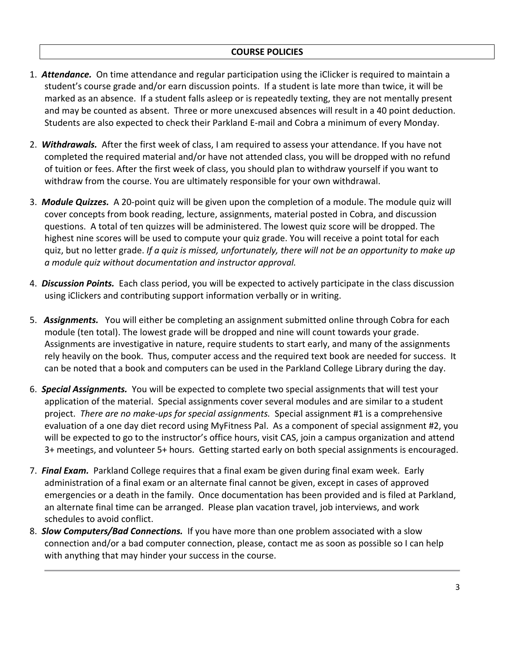- 1. *Attendance.* On time attendance and regular participation using the iClicker is required to maintain a student's course grade and/or earn discussion points. If a student is late more than twice, it will be marked as an absence. If a student falls asleep or is repeatedly texting, they are not mentally present and may be counted as absent. Three or more unexcused absences will result in a 40 point deduction. Students are also expected to check their Parkland E‐mail and Cobra a minimum of every Monday.
- 2. *Withdrawals.* After the first week of class, I am required to assess your attendance. If you have not completed the required material and/or have not attended class, you will be dropped with no refund of tuition or fees. After the first week of class, you should plan to withdraw yourself if you want to withdraw from the course. You are ultimately responsible for your own withdrawal.
- 3. *Module Quizzes.* A 20‐point quiz will be given upon the completion of a module. The module quiz will cover concepts from book reading, lecture, assignments, material posted in Cobra, and discussion questions. A total of ten quizzes will be administered. The lowest quiz score will be dropped. The highest nine scores will be used to compute your quiz grade. You will receive a point total for each quiz, but no letter grade. *If a quiz is missed, unfortunately, there will not be an opportunity to make up a module quiz without documentation and instructor approval.*
- 4. *Discussion Points.* Each class period, you will be expected to actively participate in the class discussion using iClickers and contributing support information verbally or in writing.
- 5. *Assignments.* You will either be completing an assignment submitted online through Cobra for each module (ten total). The lowest grade will be dropped and nine will count towards your grade. Assignments are investigative in nature, require students to start early, and many of the assignments rely heavily on the book. Thus, computer access and the required text book are needed for success. It can be noted that a book and computers can be used in the Parkland College Library during the day.
- 6. *Special Assignments.* You will be expected to complete two special assignments that will test your application of the material. Special assignments cover several modules and are similar to a student project. *There are no make‐ups for special assignments.* Special assignment #1 is a comprehensive evaluation of a one day diet record using MyFitness Pal. As a component of special assignment #2, you will be expected to go to the instructor's office hours, visit CAS, join a campus organization and attend 3+ meetings, and volunteer 5+ hours. Getting started early on both special assignments is encouraged.
- 7. *Final Exam.* Parkland College requires that a final exam be given during final exam week. Early administration of a final exam or an alternate final cannot be given, except in cases of approved emergencies or a death in the family. Once documentation has been provided and is filed at Parkland, an alternate final time can be arranged. Please plan vacation travel, job interviews, and work schedules to avoid conflict.
- 8. *Slow Computers/Bad Connections.* If you have more than one problem associated with a slow connection and/or a bad computer connection, please, contact me as soon as possible so I can help with anything that may hinder your success in the course.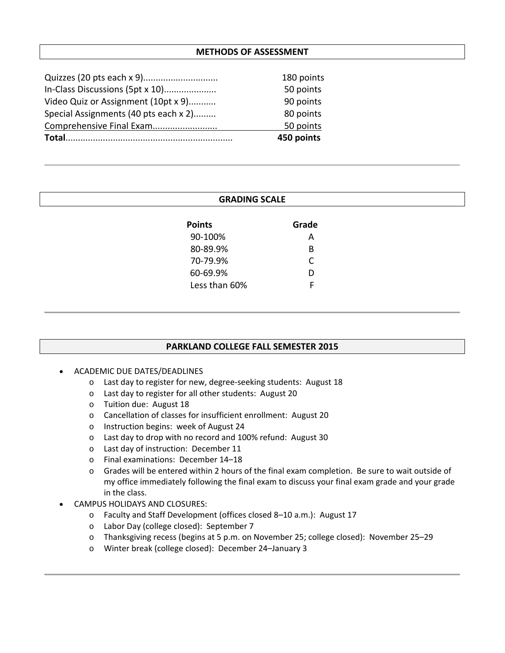#### **METHODS OF ASSESSMENT**

|                                       | 450 points |
|---------------------------------------|------------|
| Comprehensive Final Exam              | 50 points  |
| Special Assignments (40 pts each x 2) | 80 points  |
| Video Quiz or Assignment (10pt x 9)   | 90 points  |
| In-Class Discussions (5pt x 10)       | 50 points  |
|                                       | 180 points |

| <b>GRADING SCALE</b> |  |  |  |
|----------------------|--|--|--|
| Grade                |  |  |  |
| A                    |  |  |  |
| B                    |  |  |  |
| C                    |  |  |  |
| D                    |  |  |  |
| F                    |  |  |  |
|                      |  |  |  |
|                      |  |  |  |

#### **PARKLAND COLLEGE FALL SEMESTER 2015**

- ACADEMIC DUE DATES/DEADLINES
	- o Last day to register for new, degree‐seeking students: August 18
	- o Last day to register for all other students: August 20
	- o Tuition due: August 18
	- o Cancellation of classes for insufficient enrollment: August 20
	- o Instruction begins: week of August 24
	- o Last day to drop with no record and 100% refund: August 30
	- o Last day of instruction: December 11
	- o Final examinations: December 14–18
	- o Grades will be entered within 2 hours of the final exam completion. Be sure to wait outside of my office immediately following the final exam to discuss your final exam grade and your grade in the class.
- CAMPUS HOLIDAYS AND CLOSURES:
	- o Faculty and Staff Development (offices closed 8–10 a.m.): August 17
	- o Labor Day (college closed): September 7
	- o Thanksgiving recess (begins at 5 p.m. on November 25; college closed): November 25–29
	- o Winter break (college closed): December 24–January 3